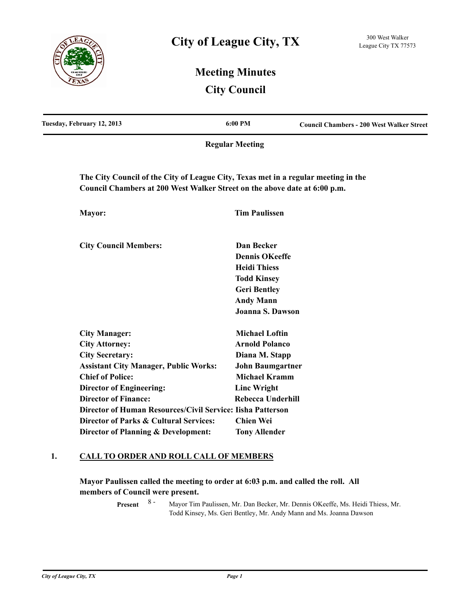

# **Meeting Minutes City Council**

| Tuesday, February 12, 2013                                                                                                                                      | 6:00 PM                                   | <b>Council Chambers - 200 West Walker Street</b> |
|-----------------------------------------------------------------------------------------------------------------------------------------------------------------|-------------------------------------------|--------------------------------------------------|
|                                                                                                                                                                 | <b>Regular Meeting</b>                    |                                                  |
| The City Council of the City of League City, Texas met in a regular meeting in the<br>Council Chambers at 200 West Walker Street on the above date at 6:00 p.m. |                                           |                                                  |
| Mayor:                                                                                                                                                          | <b>Tim Paulissen</b>                      |                                                  |
| <b>City Council Members:</b>                                                                                                                                    | Dan Becker                                |                                                  |
|                                                                                                                                                                 | <b>Dennis OKeeffe</b>                     |                                                  |
|                                                                                                                                                                 | <b>Heidi Thiess</b>                       |                                                  |
|                                                                                                                                                                 | <b>Todd Kinsey</b><br><b>Geri Bentley</b> |                                                  |
|                                                                                                                                                                 | <b>Andy Mann</b>                          |                                                  |
|                                                                                                                                                                 | Joanna S. Dawson                          |                                                  |
| <b>City Manager:</b>                                                                                                                                            | <b>Michael Loftin</b>                     |                                                  |
| <b>City Attorney:</b>                                                                                                                                           | <b>Arnold Polanco</b>                     |                                                  |
| <b>City Secretary:</b>                                                                                                                                          | Diana M. Stapp                            |                                                  |
| <b>Assistant City Manager, Public Works:</b>                                                                                                                    | <b>John Baumgartner</b>                   |                                                  |
| <b>Chief of Police:</b>                                                                                                                                         | <b>Michael Kramm</b>                      |                                                  |
| <b>Director of Engineering:</b>                                                                                                                                 | <b>Linc Wright</b>                        |                                                  |
| <b>Director of Finance:</b>                                                                                                                                     | <b>Rebecca Underhill</b>                  |                                                  |
| Director of Human Resources/Civil Service: Iisha Patterson                                                                                                      |                                           |                                                  |
| Director of Parks & Cultural Services:                                                                                                                          | <b>Chien Wei</b>                          |                                                  |
| Director of Planning & Development:                                                                                                                             | <b>Tony Allender</b>                      |                                                  |

### **1. CALL TO ORDER AND ROLL CALL OF MEMBERS**

**Mayor Paulissen called the meeting to order at 6:03 p.m. and called the roll. All members of Council were present.**

> Mayor Tim Paulissen, Mr. Dan Becker, Mr. Dennis OKeeffe, Ms. Heidi Thiess, Mr. Todd Kinsey, Ms. Geri Bentley, Mr. Andy Mann and Ms. Joanna Dawson **Present** 8 -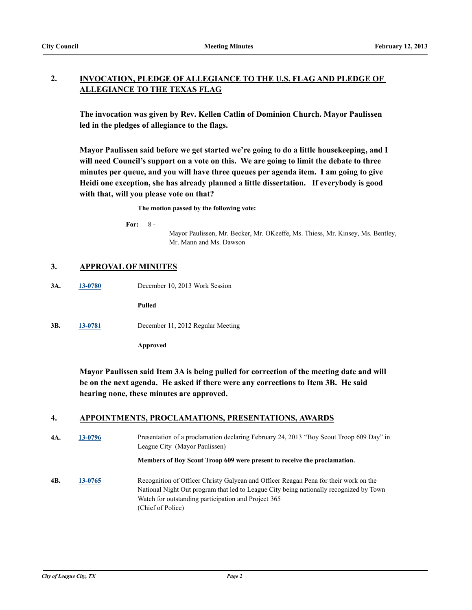#### **INVOCATION, PLEDGE OF ALLEGIANCE TO THE U.S. FLAG AND PLEDGE OF ALLEGIANCE TO THE TEXAS FLAG 2.**

**The invocation was given by Rev. Kellen Catlin of Dominion Church. Mayor Paulissen led in the pledges of allegiance to the flags.**

**Mayor Paulissen said before we get started we're going to do a little housekeeping, and I will need Council's support on a vote on this. We are going to limit the debate to three minutes per queue, and you will have three queues per agenda item. I am going to give Heidi one exception, she has already planned a little dissertation. If everybody is good with that, will you please vote on that?**

**The motion passed by the following vote:**

**For:** 8 -

Mayor Paulissen, Mr. Becker, Mr. OKeeffe, Ms. Thiess, Mr. Kinsey, Ms. Bentley, Mr. Mann and Ms. Dawson

### **3. APPROVAL OF MINUTES**

**3A. [13-0780](http://leaguecity.legistar.com/gateway.aspx?m=l&id=3628)** December 10, 2013 Work Session

**Pulled**

**3B. [13-0781](http://leaguecity.legistar.com/gateway.aspx?m=l&id=3629)** December 11, 2012 Regular Meeting

**Approved**

**Mayor Paulissen said Item 3A is being pulled for correction of the meeting date and will be on the next agenda. He asked if there were any corrections to Item 3B. He said hearing none, these minutes are approved.**

### **4. APPOINTMENTS, PROCLAMATIONS, PRESENTATIONS, AWARDS**

**4A. [13-0796](http://leaguecity.legistar.com/gateway.aspx?m=l&id=3644)** Presentation of a proclamation declaring February 24, 2013 "Boy Scout Troop 609 Day" in League City (Mayor Paulissen)

**Members of Boy Scout Troop 609 were present to receive the proclamation.**

**4B. [13-0765](http://leaguecity.legistar.com/gateway.aspx?m=l&id=3613)** Recognition of Officer Christy Galyean and Officer Reagan Pena for their work on the National Night Out program that led to League City being nationally recognized by Town Watch for outstanding participation and Project 365 (Chief of Police)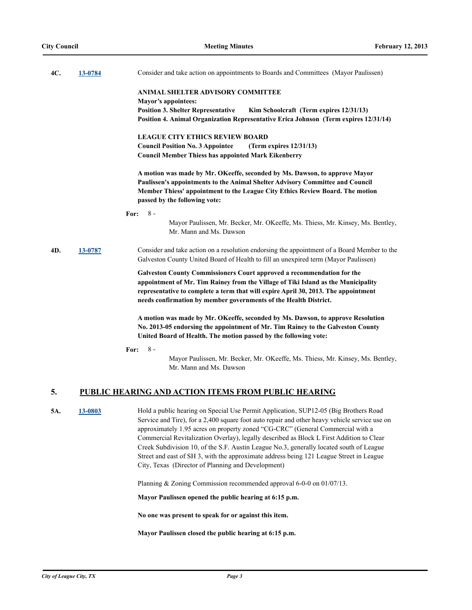| 4C. | 13-0784 | Consider and take action on appointments to Boards and Committees (Mayor Paulissen)                                                                                                                                                                                                                                                                                                                                                                                                                                                                                                                             |
|-----|---------|-----------------------------------------------------------------------------------------------------------------------------------------------------------------------------------------------------------------------------------------------------------------------------------------------------------------------------------------------------------------------------------------------------------------------------------------------------------------------------------------------------------------------------------------------------------------------------------------------------------------|
|     |         | ANIMAL SHELTER ADVISORY COMMITTEE<br><b>Mayor's appointees:</b>                                                                                                                                                                                                                                                                                                                                                                                                                                                                                                                                                 |
|     |         | <b>Position 3. Shelter Representative</b><br>Kim Schoolcraft (Term expires 12/31/13)<br>Position 4. Animal Organization Representative Erica Johnson (Term expires 12/31/14)                                                                                                                                                                                                                                                                                                                                                                                                                                    |
|     |         | <b>LEAGUE CITY ETHICS REVIEW BOARD</b>                                                                                                                                                                                                                                                                                                                                                                                                                                                                                                                                                                          |
|     |         | <b>Council Position No. 3 Appointee</b><br>(Term expires $12/31/13$ )<br><b>Council Member Thiess has appointed Mark Eikenberry</b>                                                                                                                                                                                                                                                                                                                                                                                                                                                                             |
|     |         | A motion was made by Mr. OKeeffe, seconded by Ms. Dawson, to approve Mayor<br>Paulissen's appointments to the Animal Shelter Advisory Committee and Council<br>Member Thiess' appointment to the League City Ethics Review Board. The motion<br>passed by the following vote:                                                                                                                                                                                                                                                                                                                                   |
|     |         | $8 -$<br>For:                                                                                                                                                                                                                                                                                                                                                                                                                                                                                                                                                                                                   |
|     |         | Mayor Paulissen, Mr. Becker, Mr. OKeeffe, Ms. Thiess, Mr. Kinsey, Ms. Bentley,<br>Mr. Mann and Ms. Dawson                                                                                                                                                                                                                                                                                                                                                                                                                                                                                                       |
| 4D. | 13-0787 | Consider and take action on a resolution endorsing the appointment of a Board Member to the<br>Galveston County United Board of Health to fill an unexpired term (Mayor Paulissen)                                                                                                                                                                                                                                                                                                                                                                                                                              |
|     |         | Galveston County Commissioners Court approved a recommendation for the<br>appointment of Mr. Tim Rainey from the Village of Tiki Island as the Municipality<br>representative to complete a term that will expire April 30, 2013. The appointment<br>needs confirmation by member governments of the Health District.                                                                                                                                                                                                                                                                                           |
|     |         | A motion was made by Mr. OKeeffe, seconded by Ms. Dawson, to approve Resolution<br>No. 2013-05 endorsing the appointment of Mr. Tim Rainey to the Galveston County<br>United Board of Health. The motion passed by the following vote:                                                                                                                                                                                                                                                                                                                                                                          |
|     |         | $8 -$<br>For:<br>Mayor Paulissen, Mr. Becker, Mr. OKeeffe, Ms. Thiess, Mr. Kinsey, Ms. Bentley,<br>Mr. Mann and Ms. Dawson                                                                                                                                                                                                                                                                                                                                                                                                                                                                                      |
| 5.  |         | PUBLIC HEARING AND ACTION ITEMS FROM PUBLIC HEARING                                                                                                                                                                                                                                                                                                                                                                                                                                                                                                                                                             |
| 5A. | 13-0803 | Hold a public hearing on Special Use Permit Application, SUP12-05 (Big Brothers Road<br>Service and Tire), for a 2,400 square foot auto repair and other heavy vehicle service use on<br>approximately 1.95 acres on property zoned "CG-CRC" (General Commercial with a<br>Commercial Revitalization Overlay), legally described as Block L First Addition to Clear<br>Creek Subdivision 10, of the S.F. Austin League No.3, generally located south of League<br>Street and east of SH 3, with the approximate address being 121 League Street in League<br>City, Texas (Director of Planning and Development) |
|     |         | Planning & Zoning Commission recommended approval 6-0-0 on 01/07/13.                                                                                                                                                                                                                                                                                                                                                                                                                                                                                                                                            |
|     |         | Mayor Paulissen opened the public hearing at 6:15 p.m.                                                                                                                                                                                                                                                                                                                                                                                                                                                                                                                                                          |
|     |         |                                                                                                                                                                                                                                                                                                                                                                                                                                                                                                                                                                                                                 |

**No one was present to speak for or against this item.**

**Mayor Paulissen closed the public hearing at 6:15 p.m.**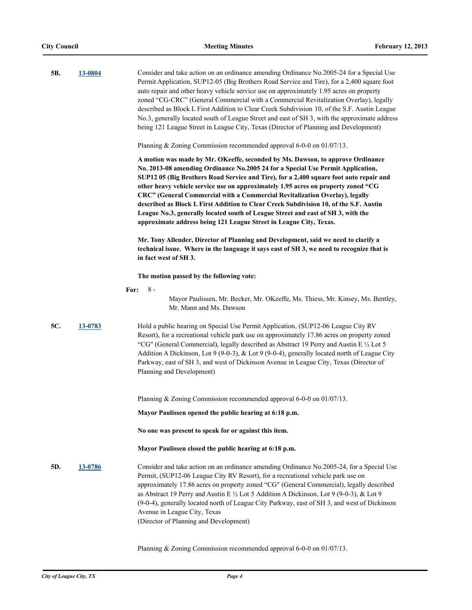| 5B. | 13-0804 | Consider and take action on an ordinance amending Ordinance No.2005-24 for a Special Use<br>Permit Application, SUP12-05 (Big Brothers Road Service and Tire), for a 2,400 square foot<br>auto repair and other heavy vehicle service use on approximately 1.95 acres on property<br>zoned "CG-CRC" (General Commercial with a Commercial Revitalization Overlay), legally<br>described as Block L First Addition to Clear Creek Subdivision 10, of the S.F. Austin League<br>No.3, generally located south of League Street and east of SH 3, with the approximate address<br>being 121 League Street in League City, Texas (Director of Planning and Development)<br>Planning & Zoning Commission recommended approval $6-0-0$ on $01/07/13$ . |
|-----|---------|--------------------------------------------------------------------------------------------------------------------------------------------------------------------------------------------------------------------------------------------------------------------------------------------------------------------------------------------------------------------------------------------------------------------------------------------------------------------------------------------------------------------------------------------------------------------------------------------------------------------------------------------------------------------------------------------------------------------------------------------------|
|     |         | A motion was made by Mr. OKeeffe, seconded by Ms. Dawson, to approve Ordinance<br>No. 2013-08 amending Ordinance No.2005 24 for a Special Use Permit Application,<br>SUP12 05 (Big Brothers Road Service and Tire), for a 2,400 square foot auto repair and<br>other heavy vehicle service use on approximately 1.95 acres on property zoned "CG<br>CRC" (General Commercial with a Commercial Revitalization Overlay), legally<br>described as Block L First Addition to Clear Creek Subdivision 10, of the S.F. Austin<br>League No.3, generally located south of League Street and east of SH 3, with the<br>approximate address being 121 League Street in League City, Texas.                                                               |
|     |         | Mr. Tony Allender, Director of Planning and Development, said we need to clarify a<br>technical issue. Where in the language it says east of SH 3, we need to recognize that is<br>in fact west of SH 3.                                                                                                                                                                                                                                                                                                                                                                                                                                                                                                                                         |
|     |         | The motion passed by the following vote:                                                                                                                                                                                                                                                                                                                                                                                                                                                                                                                                                                                                                                                                                                         |
|     | For:    | $8 -$<br>Mayor Paulissen, Mr. Becker, Mr. OKeeffe, Ms. Thiess, Mr. Kinsey, Ms. Bentley,<br>Mr. Mann and Ms. Dawson                                                                                                                                                                                                                                                                                                                                                                                                                                                                                                                                                                                                                               |
| 5C. | 13-0783 | Hold a public hearing on Special Use Permit Application, (SUP12-06 League City RV<br>Resort), for a recreational vehicle park use on approximately 17.86 acres on property zoned<br>"CG" (General Commercial), legally described as Abstract 19 Perry and Austin E $\frac{1}{2}$ Lot 5<br>Addition A Dickinson, Lot 9 (9-0-3), & Lot 9 (9-0-4), generally located north of League City<br>Parkway, east of SH 3, and west of Dickinson Avenue in League City, Texas (Director of<br>Planning and Development)                                                                                                                                                                                                                                    |
|     |         | Planning & Zoning Commission recommended approval 6-0-0 on 01/07/13.                                                                                                                                                                                                                                                                                                                                                                                                                                                                                                                                                                                                                                                                             |
|     |         | Mayor Paulissen opened the public hearing at 6:18 p.m.                                                                                                                                                                                                                                                                                                                                                                                                                                                                                                                                                                                                                                                                                           |
|     |         | No one was present to speak for or against this item.                                                                                                                                                                                                                                                                                                                                                                                                                                                                                                                                                                                                                                                                                            |
|     |         | Mayor Paulissen closed the public hearing at 6:18 p.m.                                                                                                                                                                                                                                                                                                                                                                                                                                                                                                                                                                                                                                                                                           |
| 5D. | 13-0786 | Consider and take action on an ordinance amending Ordinance No.2005-24, for a Special Use<br>Permit, (SUP12-06 League City RV Resort), for a recreational vehicle park use on<br>approximately 17.86 acres on property zoned "CG" (General Commercial), legally described<br>as Abstract 19 Perry and Austin E 1/2 Lot 5 Addition A Dickinson, Lot 9 (9-0-3), & Lot 9<br>(9-0-4), generally located north of League City Parkway, east of SH 3, and west of Dickinson<br>Avenue in League City, Texas<br>(Director of Planning and Development)                                                                                                                                                                                                  |

Planning & Zoning Commission recommended approval 6-0-0 on 01/07/13.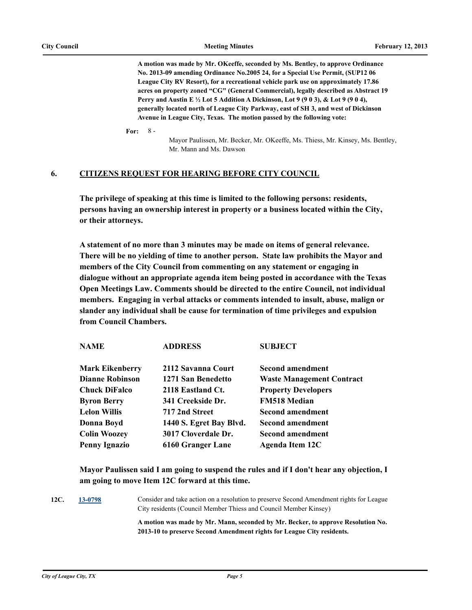**A motion was made by Mr. OKeeffe, seconded by Ms. Bentley, to approve Ordinance No. 2013-09 amending Ordinance No.2005 24, for a Special Use Permit, (SUP12 06 League City RV Resort), for a recreational vehicle park use on approximately 17.86 acres on property zoned "CG" (General Commercial), legally described as Abstract 19 Perry and Austin E ½ Lot 5 Addition A Dickinson, Lot 9 (9 0 3), & Lot 9 (9 0 4), generally located north of League City Parkway, east of SH 3, and west of Dickinson Avenue in League City, Texas. The motion passed by the following vote:**

**For:**  $8 -$ 

> Mayor Paulissen, Mr. Becker, Mr. OKeeffe, Ms. Thiess, Mr. Kinsey, Ms. Bentley, Mr. Mann and Ms. Dawson

### **6. CITIZENS REQUEST FOR HEARING BEFORE CITY COUNCIL**

**The privilege of speaking at this time is limited to the following persons: residents, persons having an ownership interest in property or a business located within the City, or their attorneys.**

**A statement of no more than 3 minutes may be made on items of general relevance. There will be no yielding of time to another person. State law prohibits the Mayor and members of the City Council from commenting on any statement or engaging in dialogue without an appropriate agenda item being posted in accordance with the Texas Open Meetings Law. Comments should be directed to the entire Council, not individual members. Engaging in verbal attacks or comments intended to insult, abuse, malign or slander any individual shall be cause for termination of time privileges and expulsion from Council Chambers.**

| <b>NAME</b>            | <b>ADDRESS</b>          | <b>SUBJECT</b>                   |
|------------------------|-------------------------|----------------------------------|
| <b>Mark Eikenberry</b> | 2112 Savanna Court      | Second amendment                 |
| <b>Dianne Robinson</b> | 1271 San Benedetto      | <b>Waste Management Contract</b> |
| <b>Chuck DiFalco</b>   | 2118 Eastland Ct.       | <b>Property Developers</b>       |
| <b>Byron Berry</b>     | 341 Creekside Dr.       | <b>FM518 Median</b>              |
| <b>Lelon Willis</b>    | 717 2nd Street          | <b>Second amendment</b>          |
| Donna Boyd             | 1440 S. Egret Bay Blvd. | <b>Second amendment</b>          |
| <b>Colin Woozey</b>    | 3017 Cloverdale Dr.     | <b>Second amendment</b>          |
| <b>Penny Ignazio</b>   | 6160 Granger Lane       | Agenda Item 12C                  |
|                        |                         |                                  |

**Mayor Paulissen said I am going to suspend the rules and if I don't hear any objection, I am going to move Item 12C forward at this time.**

**12C. [13-0798](http://leaguecity.legistar.com/gateway.aspx?m=l&id=3646)** Consider and take action on a resolution to preserve Second Amendment rights for League City residents (Council Member Thiess and Council Member Kinsey)

> **A motion was made by Mr. Mann, seconded by Mr. Becker, to approve Resolution No. 2013-10 to preserve Second Amendment rights for League City residents.**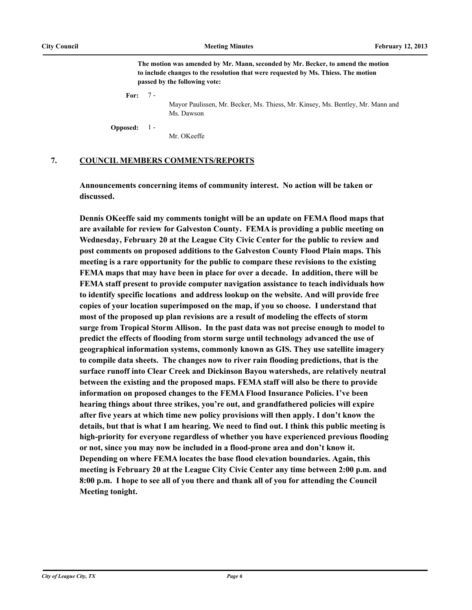**The motion was amended by Mr. Mann, seconded by Mr. Becker, to amend the motion to include changes to the resolution that were requested by Ms. Thiess. The motion passed by the following vote:**

**For:** 7 -

> Mayor Paulissen, Mr. Becker, Ms. Thiess, Mr. Kinsey, Ms. Bentley, Mr. Mann and Ms. Dawson

**Opposed:** 1 -

Mr. OKeeffe

### **7. COUNCIL MEMBERS COMMENTS/REPORTS**

**Announcements concerning items of community interest. No action will be taken or discussed.**

**Dennis OKeeffe said my comments tonight will be an update on FEMA flood maps that are available for review for Galveston County. FEMA is providing a public meeting on Wednesday, February 20 at the League City Civic Center for the public to review and post comments on proposed additions to the Galveston County Flood Plain maps. This meeting is a rare opportunity for the public to compare these revisions to the existing FEMA maps that may have been in place for over a decade. In addition, there will be FEMA staff present to provide computer navigation assistance to teach individuals how to identify specific locations and address lookup on the website. And will provide free copies of your location superimposed on the map, if you so choose. I understand that most of the proposed up plan revisions are a result of modeling the effects of storm surge from Tropical Storm Allison. In the past data was not precise enough to model to predict the effects of flooding from storm surge until technology advanced the use of geographical information systems, commonly known as GIS. They use satellite imagery to compile data sheets. The changes now to river rain flooding predictions, that is the surface runoff into Clear Creek and Dickinson Bayou watersheds, are relatively neutral between the existing and the proposed maps. FEMA staff will also be there to provide information on proposed changes to the FEMA Flood Insurance Policies. I've been hearing things about three strikes, you're out, and grandfathered policies will expire after five years at which time new policy provisions will then apply. I don't know the details, but that is what I am hearing. We need to find out. I think this public meeting is high-priority for everyone regardless of whether you have experienced previous flooding or not, since you may now be included in a flood-prone area and don't know it. Depending on where FEMA locates the base flood elevation boundaries. Again, this meeting is February 20 at the League City Civic Center any time between 2:00 p.m. and 8:00 p.m. I hope to see all of you there and thank all of you for attending the Council Meeting tonight.**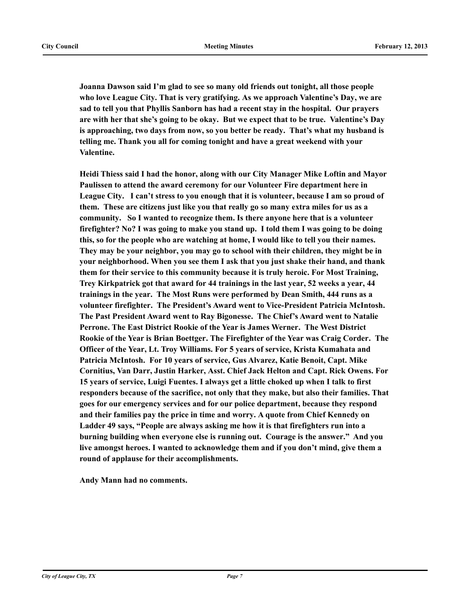**Joanna Dawson said I'm glad to see so many old friends out tonight, all those people who love League City. That is very gratifying. As we approach Valentine's Day, we are sad to tell you that Phyllis Sanborn has had a recent stay in the hospital. Our prayers are with her that she's going to be okay. But we expect that to be true. Valentine's Day is approaching, two days from now, so you better be ready. That's what my husband is telling me. Thank you all for coming tonight and have a great weekend with your Valentine.** 

**Heidi Thiess said I had the honor, along with our City Manager Mike Loftin and Mayor Paulissen to attend the award ceremony for our Volunteer Fire department here in League City. I can't stress to you enough that it is volunteer, because I am so proud of them. These are citizens just like you that really go so many extra miles for us as a community. So I wanted to recognize them. Is there anyone here that is a volunteer firefighter? No? I was going to make you stand up. I told them I was going to be doing this, so for the people who are watching at home, I would like to tell you their names. They may be your neighbor, you may go to school with their children, they might be in your neighborhood. When you see them I ask that you just shake their hand, and thank them for their service to this community because it is truly heroic. For Most Training, Trey Kirkpatrick got that award for 44 trainings in the last year, 52 weeks a year, 44 trainings in the year. The Most Runs were performed by Dean Smith, 444 runs as a volunteer firefighter. The President's Award went to Vice-President Patricia McIntosh. The Past President Award went to Ray Bigonesse. The Chief's Award went to Natalie Perrone. The East District Rookie of the Year is James Werner. The West District Rookie of the Year is Brian Boettger. The Firefighter of the Year was Craig Corder. The Officer of the Year, Lt. Troy Williams. For 5 years of service, Krista Kumahata and Patricia McIntosh. For 10 years of service, Gus Alvarez, Katie Benoit, Capt. Mike Cornitius, Van Darr, Justin Harker, Asst. Chief Jack Helton and Capt. Rick Owens. For 15 years of service, Luigi Fuentes. I always get a little choked up when I talk to first responders because of the sacrifice, not only that they make, but also their families. That goes for our emergency services and for our police department, because they respond and their families pay the price in time and worry. A quote from Chief Kennedy on Ladder 49 says, "People are always asking me how it is that firefighters run into a burning building when everyone else is running out. Courage is the answer." And you live amongst heroes. I wanted to acknowledge them and if you don't mind, give them a round of applause for their accomplishments.**

**Andy Mann had no comments.**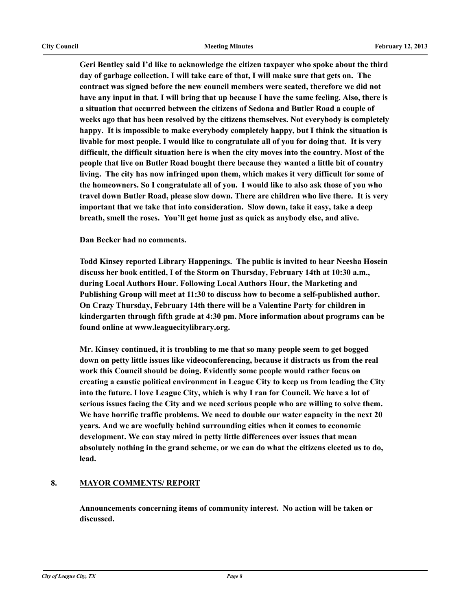**Geri Bentley said I'd like to acknowledge the citizen taxpayer who spoke about the third day of garbage collection. I will take care of that, I will make sure that gets on. The contract was signed before the new council members were seated, therefore we did not have any input in that. I will bring that up because I have the same feeling. Also, there is a situation that occurred between the citizens of Sedona and Butler Road a couple of weeks ago that has been resolved by the citizens themselves. Not everybody is completely happy. It is impossible to make everybody completely happy, but I think the situation is livable for most people. I would like to congratulate all of you for doing that. It is very difficult, the difficult situation here is when the city moves into the country. Most of the people that live on Butler Road bought there because they wanted a little bit of country living. The city has now infringed upon them, which makes it very difficult for some of the homeowners. So I congratulate all of you. I would like to also ask those of you who travel down Butler Road, please slow down. There are children who live there. It is very important that we take that into consideration. Slow down, take it easy, take a deep breath, smell the roses. You'll get home just as quick as anybody else, and alive.**

**Dan Becker had no comments.**

**Todd Kinsey reported Library Happenings. The public is invited to hear Neesha Hosein discuss her book entitled, I of the Storm on Thursday, February 14th at 10:30 a.m., during Local Authors Hour. Following Local Authors Hour, the Marketing and Publishing Group will meet at 11:30 to discuss how to become a self-published author. On Crazy Thursday, February 14th there will be a Valentine Party for children in kindergarten through fifth grade at 4:30 pm. More information about programs can be found online at www.leaguecitylibrary.org.** 

**Mr. Kinsey continued, it is troubling to me that so many people seem to get bogged down on petty little issues like videoconferencing, because it distracts us from the real work this Council should be doing. Evidently some people would rather focus on creating a caustic political environment in League City to keep us from leading the City into the future. I love League City, which is why I ran for Council. We have a lot of serious issues facing the City and we need serious people who are willing to solve them. We have horrific traffic problems. We need to double our water capacity in the next 20 years. And we are woefully behind surrounding cities when it comes to economic development. We can stay mired in petty little differences over issues that mean absolutely nothing in the grand scheme, or we can do what the citizens elected us to do, lead.**

### **8. MAYOR COMMENTS/ REPORT**

**Announcements concerning items of community interest. No action will be taken or discussed.**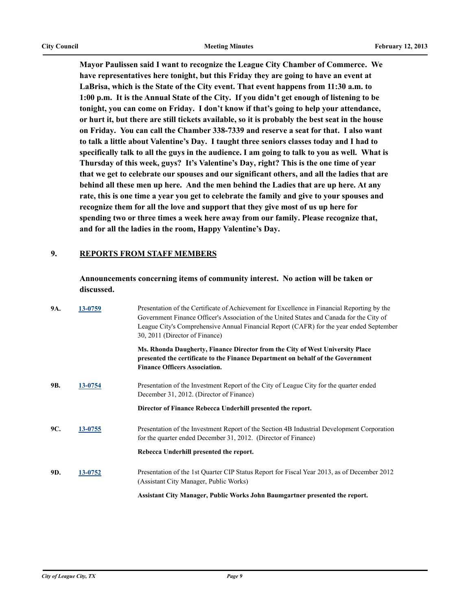**Mayor Paulissen said I want to recognize the League City Chamber of Commerce. We have representatives here tonight, but this Friday they are going to have an event at LaBrisa, which is the State of the City event. That event happens from 11:30 a.m. to 1:00 p.m. It is the Annual State of the City. If you didn't get enough of listening to be tonight, you can come on Friday. I don't know if that's going to help your attendance, or hurt it, but there are still tickets available, so it is probably the best seat in the house on Friday. You can call the Chamber 338-7339 and reserve a seat for that. I also want to talk a little about Valentine's Day. I taught three seniors classes today and I had to specifically talk to all the guys in the audience. I am going to talk to you as well. What is Thursday of this week, guys? It's Valentine's Day, right? This is the one time of year that we get to celebrate our spouses and our significant others, and all the ladies that are behind all these men up here. And the men behind the Ladies that are up here. At any rate, this is one time a year you get to celebrate the family and give to your spouses and recognize them for all the love and support that they give most of us up here for spending two or three times a week here away from our family. Please recognize that, and for all the ladies in the room, Happy Valentine's Day.**

### **9. REPORTS FROM STAFF MEMBERS**

**Announcements concerning items of community interest. No action will be taken or discussed.**

| 9A. | 13-0759 | Presentation of the Certificate of Achievement for Excellence in Financial Reporting by the<br>Government Finance Officer's Association of the United States and Canada for the City of<br>League City's Comprehensive Annual Financial Report (CAFR) for the year ended September<br>30, 2011 (Director of Finance) |
|-----|---------|----------------------------------------------------------------------------------------------------------------------------------------------------------------------------------------------------------------------------------------------------------------------------------------------------------------------|
|     |         | Ms. Rhonda Daugherty, Finance Director from the City of West University Place<br>presented the certificate to the Finance Department on behalf of the Government<br><b>Finance Officers Association.</b>                                                                                                             |
| 9B. | 13-0754 | Presentation of the Investment Report of the City of League City for the quarter ended<br>December 31, 2012. (Director of Finance)                                                                                                                                                                                   |
|     |         | Director of Finance Rebecca Underhill presented the report.                                                                                                                                                                                                                                                          |
| 9C. | 13-0755 | Presentation of the Investment Report of the Section 4B Industrial Development Corporation<br>for the quarter ended December 31, 2012. (Director of Finance)                                                                                                                                                         |
|     |         | Rebecca Underhill presented the report.                                                                                                                                                                                                                                                                              |
| 9D. | 13-0752 | Presentation of the 1st Quarter CIP Status Report for Fiscal Year 2013, as of December 2012<br>(Assistant City Manager, Public Works)                                                                                                                                                                                |
|     |         | Assistant City Manager, Public Works John Baumgartner presented the report.                                                                                                                                                                                                                                          |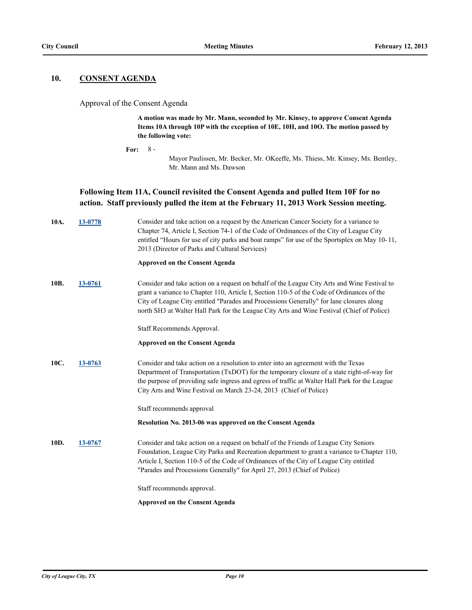### **10. CONSENT AGENDA**

#### Approval of the Consent Agenda

**A motion was made by Mr. Mann, seconded by Mr. Kinsey, to approve Consent Agenda Items 10A through 10P with the exception of 10E, 10H, and 10O. The motion passed by the following vote:**

north SH3 at Walter Hall Park for the League City Arts and Wine Festival (Chief of Police)

**For:** 8 -

Mayor Paulissen, Mr. Becker, Mr. OKeeffe, Ms. Thiess, Mr. Kinsey, Ms. Bentley, Mr. Mann and Ms. Dawson

### **Following Item 11A, Council revisited the Consent Agenda and pulled Item 10F for no action. Staff previously pulled the item at the February 11, 2013 Work Session meeting.**

| 10A. | 13-0778 | Consider and take action on a request by the American Cancer Society for a variance to<br>Chapter 74, Article I, Section 74-1 of the Code of Ordinances of the City of League City<br>entitled "Hours for use of city parks and boat ramps" for use of the Sportsplex on May 10-11,<br>2013 (Director of Parks and Cultural Services) |
|------|---------|---------------------------------------------------------------------------------------------------------------------------------------------------------------------------------------------------------------------------------------------------------------------------------------------------------------------------------------|
|      |         | <b>Approved on the Consent Agenda</b>                                                                                                                                                                                                                                                                                                 |
| 10B. | 13-0761 | Consider and take action on a request on behalf of the League City Arts and Wine Festival to<br>grant a variance to Chapter 110, Article I, Section 110-5 of the Code of Ordinances of the<br>City of League City entitled "Parades and Processions Generally" for lane closures along                                                |

Staff Recommends Approval.

#### **Approved on the Consent Agenda**

**10C. [13-0763](http://leaguecity.legistar.com/gateway.aspx?m=l&id=3611)** Consider and take action on a resolution to enter into an agreement with the Texas Department of Transportation (TxDOT) for the temporary closure of a state right-of-way for the purpose of providing safe ingress and egress of traffic at Walter Hall Park for the League City Arts and Wine Festival on March 23-24, 2013 (Chief of Police)

Staff recommends approval

#### **Resolution No. 2013-06 was approved on the Consent Agenda**

**10D. [13-0767](http://leaguecity.legistar.com/gateway.aspx?m=l&id=3615)** Consider and take action on a request on behalf of the Friends of League City Seniors Foundation, League City Parks and Recreation department to grant a variance to Chapter 110, Article I, Section 110-5 of the Code of Ordinances of the City of League City entitled "Parades and Processions Generally" for April 27, 2013 (Chief of Police)

Staff recommends approval.

**Approved on the Consent Agenda**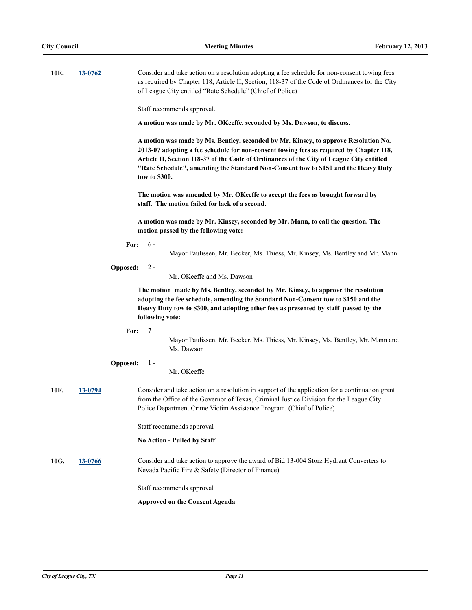| 10E. | 13-0762 | Consider and take action on a resolution adopting a fee schedule for non-consent towing fees<br>as required by Chapter 118, Article II, Section, 118-37 of the Code of Ordinances for the City<br>of League City entitled "Rate Schedule" (Chief of Police)                                                                                                                       |
|------|---------|-----------------------------------------------------------------------------------------------------------------------------------------------------------------------------------------------------------------------------------------------------------------------------------------------------------------------------------------------------------------------------------|
|      |         | Staff recommends approval.                                                                                                                                                                                                                                                                                                                                                        |
|      |         | A motion was made by Mr. OKeeffe, seconded by Ms. Dawson, to discuss.                                                                                                                                                                                                                                                                                                             |
|      |         | A motion was made by Ms. Bentley, seconded by Mr. Kinsey, to approve Resolution No.<br>2013-07 adopting a fee schedule for non-consent towing fees as required by Chapter 118,<br>Article II, Section 118-37 of the Code of Ordinances of the City of League City entitled<br>"Rate Schedule", amending the Standard Non-Consent tow to \$150 and the Heavy Duty<br>tow to \$300. |
|      |         | The motion was amended by Mr. OKeeffe to accept the fees as brought forward by<br>staff. The motion failed for lack of a second.                                                                                                                                                                                                                                                  |
|      |         | A motion was made by Mr. Kinsey, seconded by Mr. Mann, to call the question. The<br>motion passed by the following vote:                                                                                                                                                                                                                                                          |
|      |         | $6 -$<br>For:<br>Mayor Paulissen, Mr. Becker, Ms. Thiess, Mr. Kinsey, Ms. Bentley and Mr. Mann                                                                                                                                                                                                                                                                                    |
|      |         | Opposed:<br>$2 -$<br>Mr. OKeeffe and Ms. Dawson                                                                                                                                                                                                                                                                                                                                   |
|      |         | The motion made by Ms. Bentley, seconded by Mr. Kinsey, to approve the resolution<br>adopting the fee schedule, amending the Standard Non-Consent tow to \$150 and the<br>Heavy Duty tow to \$300, and adopting other fees as presented by staff passed by the<br>following vote:                                                                                                 |
|      |         | 7 -<br>For:<br>Mayor Paulissen, Mr. Becker, Ms. Thiess, Mr. Kinsey, Ms. Bentley, Mr. Mann and<br>Ms. Dawson                                                                                                                                                                                                                                                                       |
|      |         | $1 -$<br><b>Opposed:</b><br>Mr. OKeeffe                                                                                                                                                                                                                                                                                                                                           |
| 10F. | 13-0794 | Consider and take action on a resolution in support of the application for a continuation grant<br>from the Office of the Governor of Texas, Criminal Justice Division for the League City<br>Police Department Crime Victim Assistance Program. (Chief of Police)                                                                                                                |
|      |         | Staff recommends approval                                                                                                                                                                                                                                                                                                                                                         |
|      |         | <b>No Action - Pulled by Staff</b>                                                                                                                                                                                                                                                                                                                                                |
| 10G. | 13-0766 | Consider and take action to approve the award of Bid 13-004 Storz Hydrant Converters to<br>Nevada Pacific Fire & Safety (Director of Finance)                                                                                                                                                                                                                                     |
|      |         | Staff recommends approval                                                                                                                                                                                                                                                                                                                                                         |
|      |         | <b>Approved on the Consent Agenda</b>                                                                                                                                                                                                                                                                                                                                             |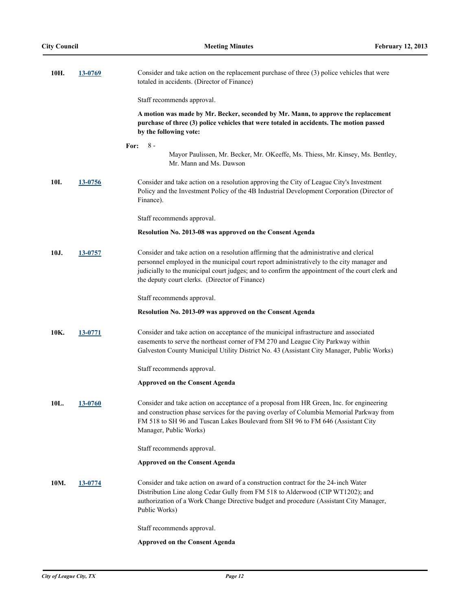| 10H. | 13-0769 | Consider and take action on the replacement purchase of three (3) police vehicles that were<br>totaled in accidents. (Director of Finance)                                                                                                                                                                                                |
|------|---------|-------------------------------------------------------------------------------------------------------------------------------------------------------------------------------------------------------------------------------------------------------------------------------------------------------------------------------------------|
|      |         | Staff recommends approval.                                                                                                                                                                                                                                                                                                                |
|      |         | A motion was made by Mr. Becker, seconded by Mr. Mann, to approve the replacement<br>purchase of three (3) police vehicles that were totaled in accidents. The motion passed<br>by the following vote:                                                                                                                                    |
|      |         | $8-$<br>For:                                                                                                                                                                                                                                                                                                                              |
|      |         | Mayor Paulissen, Mr. Becker, Mr. OKeeffe, Ms. Thiess, Mr. Kinsey, Ms. Bentley,<br>Mr. Mann and Ms. Dawson                                                                                                                                                                                                                                 |
| 10I. | 13-0756 | Consider and take action on a resolution approving the City of League City's Investment<br>Policy and the Investment Policy of the 4B Industrial Development Corporation (Director of<br>Finance).                                                                                                                                        |
|      |         | Staff recommends approval.                                                                                                                                                                                                                                                                                                                |
|      |         | Resolution No. 2013-08 was approved on the Consent Agenda                                                                                                                                                                                                                                                                                 |
| 10J. | 13-0757 | Consider and take action on a resolution affirming that the administrative and clerical<br>personnel employed in the municipal court report administratively to the city manager and<br>judicially to the municipal court judges; and to confirm the appointment of the court clerk and<br>the deputy court clerks. (Director of Finance) |
|      |         | Staff recommends approval.                                                                                                                                                                                                                                                                                                                |
|      |         | Resolution No. 2013-09 was approved on the Consent Agenda                                                                                                                                                                                                                                                                                 |
| 10K. | 13-0771 | Consider and take action on acceptance of the municipal infrastructure and associated<br>easements to serve the northeast corner of FM 270 and League City Parkway within<br>Galveston County Municipal Utility District No. 43 (Assistant City Manager, Public Works)                                                                    |
|      |         | Staff recommends approval.                                                                                                                                                                                                                                                                                                                |
|      |         | <b>Approved on the Consent Agenda</b>                                                                                                                                                                                                                                                                                                     |
| 10L. | 13-0760 | Consider and take action on acceptance of a proposal from HR Green, Inc. for engineering<br>and construction phase services for the paving overlay of Columbia Memorial Parkway from<br>FM 518 to SH 96 and Tuscan Lakes Boulevard from SH 96 to FM 646 (Assistant City<br>Manager, Public Works)                                         |
|      |         | Staff recommends approval.                                                                                                                                                                                                                                                                                                                |
|      |         | <b>Approved on the Consent Agenda</b>                                                                                                                                                                                                                                                                                                     |
| 10M. | 13-0774 | Consider and take action on award of a construction contract for the 24-inch Water<br>Distribution Line along Cedar Gully from FM 518 to Alderwood (CIP WT1202); and<br>authorization of a Work Change Directive budget and procedure (Assistant City Manager,<br>Public Works)                                                           |
|      |         | Staff recommends approval.                                                                                                                                                                                                                                                                                                                |
|      |         | <b>Approved on the Consent Agenda</b>                                                                                                                                                                                                                                                                                                     |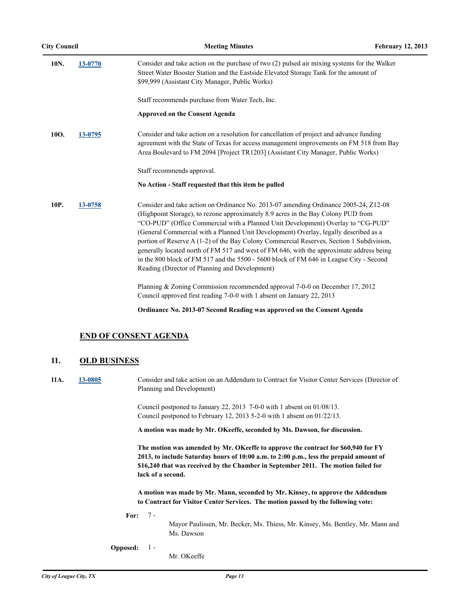| 10N. | 13-0770 | Consider and take action on the purchase of two (2) pulsed air mixing systems for the Walker<br>Street Water Booster Station and the Eastside Elevated Storage Tank for the amount of<br>\$99,999 (Assistant City Manager, Public Works)                                                                                                                                                                                                                                                                                                                                                                                                                                                  |
|------|---------|-------------------------------------------------------------------------------------------------------------------------------------------------------------------------------------------------------------------------------------------------------------------------------------------------------------------------------------------------------------------------------------------------------------------------------------------------------------------------------------------------------------------------------------------------------------------------------------------------------------------------------------------------------------------------------------------|
|      |         | Staff recommends purchase from Water Tech, Inc.                                                                                                                                                                                                                                                                                                                                                                                                                                                                                                                                                                                                                                           |
|      |         | <b>Approved on the Consent Agenda</b>                                                                                                                                                                                                                                                                                                                                                                                                                                                                                                                                                                                                                                                     |
| 10O. | 13-0795 | Consider and take action on a resolution for cancellation of project and advance funding<br>agreement with the State of Texas for access management improvements on FM 518 from Bay<br>Area Boulevard to FM 2094 [Project TR1203] (Assistant City Manager, Public Works)                                                                                                                                                                                                                                                                                                                                                                                                                  |
|      |         | Staff recommends approval.                                                                                                                                                                                                                                                                                                                                                                                                                                                                                                                                                                                                                                                                |
|      |         | No Action - Staff requested that this item be pulled                                                                                                                                                                                                                                                                                                                                                                                                                                                                                                                                                                                                                                      |
| 10P. | 13-0758 | Consider and take action on Ordinance No. 2013-07 amending Ordinance 2005-24, Z12-08<br>(Highpoint Storage), to rezone approximately 8.9 acres in the Bay Colony PUD from<br>"CO-PUD" (Office Commercial with a Planned Unit Development) Overlay to "CG-PUD"<br>(General Commercial with a Planned Unit Development) Overlay, legally described as a<br>portion of Reserve A (1-2) of the Bay Colony Commercial Reserves, Section 1 Subdivision,<br>generally located north of FM 517 and west of FM 646, with the approximate address being<br>in the 800 block of FM 517 and the 5500 - 5600 block of FM 646 in League City - Second<br>Reading (Director of Planning and Development) |
|      |         | Planning & Zoning Commission recommended approval 7-0-0 on December 17, 2012<br>Council approved first reading 7-0-0 with 1 absent on January 22, 2013                                                                                                                                                                                                                                                                                                                                                                                                                                                                                                                                    |

**Ordinance No. 2013-07 Second Reading was approved on the Consent Agenda**

### **END OF CONSENT AGENDA**

### **11. OLD BUSINESS**

**11A. [13-0805](http://leaguecity.legistar.com/gateway.aspx?m=l&id=3653)** Consider and take action on an Addendum to Contract for Visitor Center Services (Director of Planning and Development)

> Council postponed to January 22, 2013 7-0-0 with 1 absent on 01/08/13. Council postponed to February 12, 2013 5-2-0 with 1 absent on 01/22/13.

**A motion was made by Mr. OKeeffe, seconded by Ms. Dawson, for discussion.**

**The motion was amended by Mr. OKeeffe to approve the contract for \$60,940 for FY 2013, to include Saturday hours of 10:00 a.m. to 2:00 p.m., less the prepaid amount of \$16,240 that was received by the Chamber in September 2011. The motion failed for lack of a second.**

**A motion was made by Mr. Mann, seconded by Mr. Kinsey, to approve the Addendum to Contract for Visitor Center Services. The motion passed by the following vote:**

**For:** 7 -

Mayor Paulissen, Mr. Becker, Ms. Thiess, Mr. Kinsey, Ms. Bentley, Mr. Mann and Ms. Dawson

**Opposed:** 1 -

Mr. OKeeffe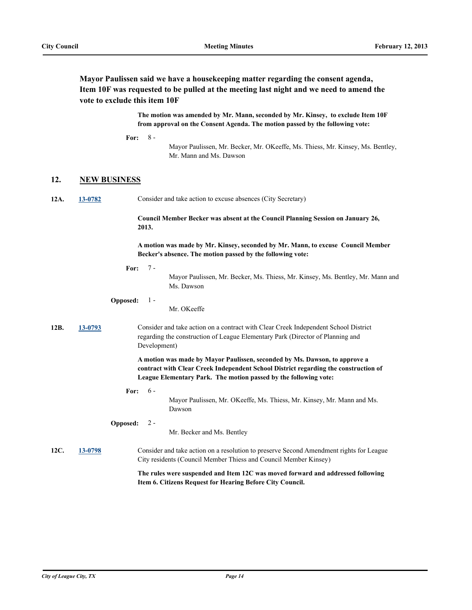**Mayor Paulissen said we have a housekeeping matter regarding the consent agenda, Item 10F was requested to be pulled at the meeting last night and we need to amend the vote to exclude this item 10F**

> **The motion was amended by Mr. Mann, seconded by Mr. Kinsey, to exclude Item 10F from approval on the Consent Agenda. The motion passed by the following vote:**

**For:** 8 -

> Mayor Paulissen, Mr. Becker, Mr. OKeeffe, Ms. Thiess, Mr. Kinsey, Ms. Bentley, Mr. Mann and Ms. Dawson

#### **12. NEW BUSINESS**

| 12A. | 13-0782 | Consider and take action to excuse absences (City Secretary) |  |
|------|---------|--------------------------------------------------------------|--|
|      |         |                                                              |  |

**Council Member Becker was absent at the Council Planning Session on January 26, 2013.**

**A motion was made by Mr. Kinsey, seconded by Mr. Mann, to excuse Council Member Becker's absence. The motion passed by the following vote:**

**For:** 7 -

> Mayor Paulissen, Mr. Becker, Ms. Thiess, Mr. Kinsey, Ms. Bentley, Mr. Mann and Ms. Dawson

#### **Opposed:** 1 -

Mr. OKeeffe

**12B. [13-0793](http://leaguecity.legistar.com/gateway.aspx?m=l&id=3641)** Consider and take action on a contract with Clear Creek Independent School District regarding the construction of League Elementary Park (Director of Planning and Development)

> **A motion was made by Mayor Paulissen, seconded by Ms. Dawson, to approve a contract with Clear Creek Independent School District regarding the construction of League Elementary Park. The motion passed by the following vote:**

**For:** 6 -

> Mayor Paulissen, Mr. OKeeffe, Ms. Thiess, Mr. Kinsey, Mr. Mann and Ms. Dawson

**Opposed:**  $2 -$ 

Mr. Becker and Ms. Bentley

### **12C. [13-0798](http://leaguecity.legistar.com/gateway.aspx?m=l&id=3646)** Consider and take action on a resolution to preserve Second Amendment rights for League City residents (Council Member Thiess and Council Member Kinsey)

**The rules were suspended and Item 12C was moved forward and addressed following Item 6. Citizens Request for Hearing Before City Council.**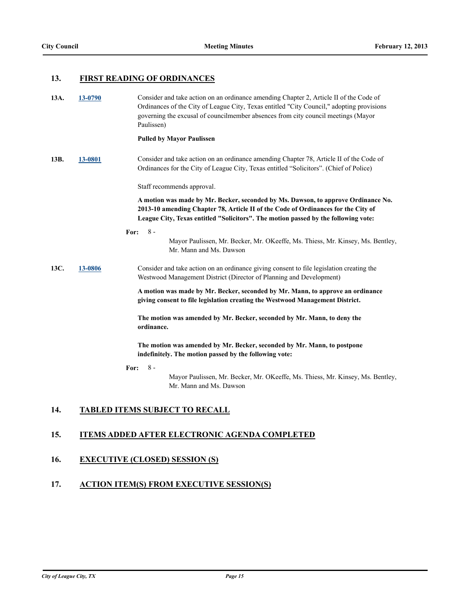### **13. FIRST READING OF ORDINANCES**

| 13A. | 13-0790 | Consider and take action on an ordinance amending Chapter 2, Article II of the Code of<br>Ordinances of the City of League City, Texas entitled "City Council," adopting provisions<br>governing the excusal of councilmember absences from city council meetings (Mayor<br>Paulissen) |
|------|---------|----------------------------------------------------------------------------------------------------------------------------------------------------------------------------------------------------------------------------------------------------------------------------------------|
|      |         | <b>Pulled by Mayor Paulissen</b>                                                                                                                                                                                                                                                       |
| 13B. | 13-0801 | Consider and take action on an ordinance amending Chapter 78, Article II of the Code of<br>Ordinances for the City of League City, Texas entitled "Solicitors". (Chief of Police)                                                                                                      |
|      |         | Staff recommends approval.                                                                                                                                                                                                                                                             |
|      |         | A motion was made by Mr. Becker, seconded by Ms. Dawson, to approve Ordinance No.<br>2013-10 amending Chapter 78, Article II of the Code of Ordinances for the City of<br>League City, Texas entitled "Solicitors". The motion passed by the following vote:                           |
|      |         | $8 -$<br>For:<br>Mayor Paulissen, Mr. Becker, Mr. OKeeffe, Ms. Thiess, Mr. Kinsey, Ms. Bentley,<br>Mr. Mann and Ms. Dawson                                                                                                                                                             |
| 13C. | 13-0806 | Consider and take action on an ordinance giving consent to file legislation creating the<br>Westwood Management District (Director of Planning and Development)                                                                                                                        |
|      |         | A motion was made by Mr. Becker, seconded by Mr. Mann, to approve an ordinance<br>giving consent to file legislation creating the Westwood Management District.                                                                                                                        |
|      |         | The motion was amended by Mr. Becker, seconded by Mr. Mann, to deny the<br>ordinance.                                                                                                                                                                                                  |
|      |         | The motion was amended by Mr. Becker, seconded by Mr. Mann, to postpone<br>indefinitely. The motion passed by the following vote:                                                                                                                                                      |
|      |         | $8 -$<br>For:<br>Mayor Paulissen, Mr. Becker, Mr. OKeeffe, Ms. Thiess, Mr. Kinsey, Ms. Bentley,<br>Mr. Mann and Ms. Dawson                                                                                                                                                             |

## **14. TABLED ITEMS SUBJECT TO RECALL**

### **15. ITEMS ADDED AFTER ELECTRONIC AGENDA COMPLETED**

## **16. EXECUTIVE (CLOSED) SESSION (S)**

### **17. ACTION ITEM(S) FROM EXECUTIVE SESSION(S)**